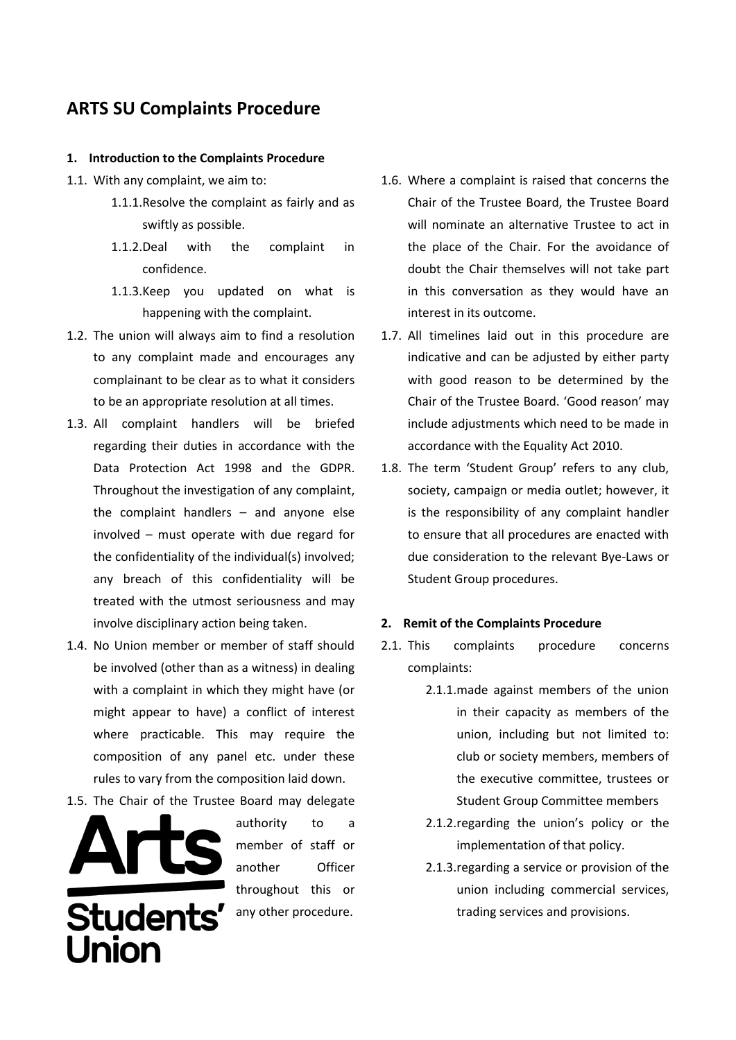# **ARTS SU Complaints Procedure**

## **1. Introduction to the Complaints Procedure**

- 1.1. With any complaint, we aim to:
	- 1.1.1.Resolve the complaint as fairly and as swiftly as possible.
	- 1.1.2.Deal with the complaint in confidence.
	- 1.1.3.Keep you updated on what is happening with the complaint.
- 1.2. The union will always aim to find a resolution to any complaint made and encourages any complainant to be clear as to what it considers to be an appropriate resolution at all times.
- 1.3. All complaint handlers will be briefed regarding their duties in accordance with the Data Protection Act 1998 and the GDPR. Throughout the investigation of any complaint, the complaint handlers – and anyone else involved – must operate with due regard for the confidentiality of the individual(s) involved; any breach of this confidentiality will be treated with the utmost seriousness and may involve disciplinary action being taken.
- 1.4. No Union member or member of staff should be involved (other than as a witness) in dealing with a complaint in which they might have (or might appear to have) a conflict of interest where practicable. This may require the composition of any panel etc. under these rules to vary from the composition laid down.
- 1.5. The Chair of the Trustee Board may delegate



authority to a member of staff or another Officer throughout this or any other procedure.

- 1.6. Where a complaint is raised that concerns the Chair of the Trustee Board, the Trustee Board will nominate an alternative Trustee to act in the place of the Chair. For the avoidance of doubt the Chair themselves will not take part in this conversation as they would have an interest in its outcome.
- 1.7. All timelines laid out in this procedure are indicative and can be adjusted by either party with good reason to be determined by the Chair of the Trustee Board. 'Good reason' may include adjustments which need to be made in accordance with the Equality Act 2010.
- 1.8. The term 'Student Group' refers to any club, society, campaign or media outlet; however, it is the responsibility of any complaint handler to ensure that all procedures are enacted with due consideration to the relevant Bye-Laws or Student Group procedures.

# **2. Remit of the Complaints Procedure**

- 2.1. This complaints procedure concerns complaints:
	- 2.1.1.made against members of the union in their capacity as members of the union, including but not limited to: club or society members, members of the executive committee, trustees or Student Group Committee members
	- 2.1.2.regarding the union's policy or the implementation of that policy.
	- 2.1.3.regarding a service or provision of the union including commercial services, trading services and provisions.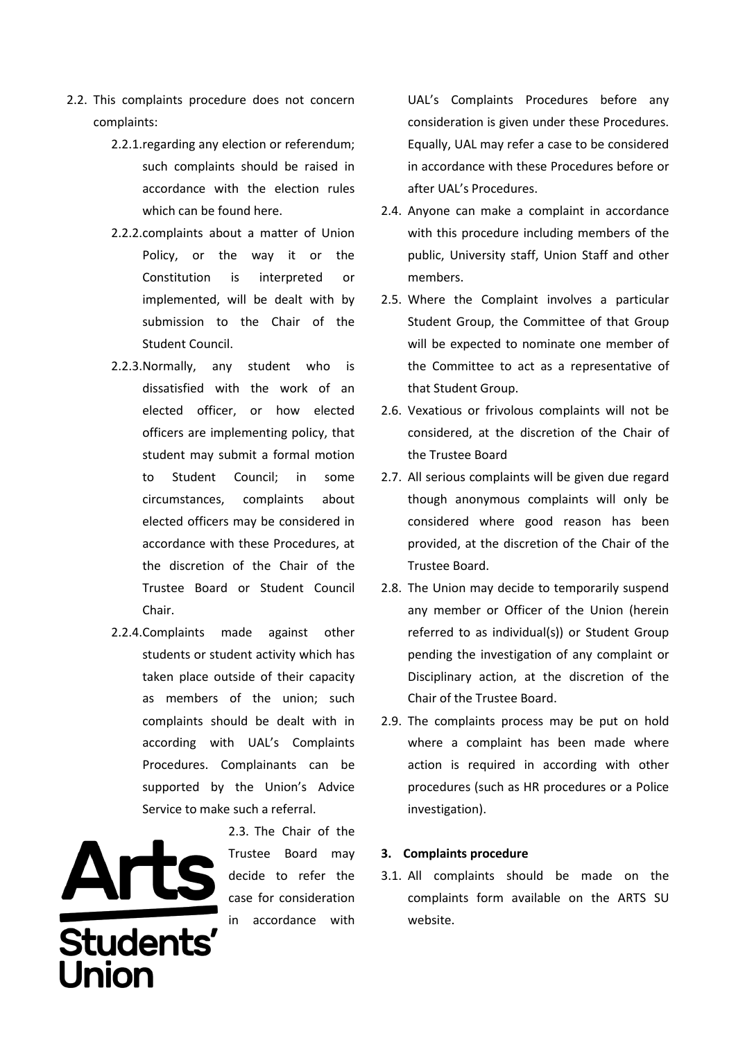- 2.2. This complaints procedure does not concern complaints:
	- 2.2.1.regarding any election or referendum; such complaints should be raised in accordance with the election rules which can be found here.
	- 2.2.2.complaints about a matter of Union Policy, or the way it or the Constitution is interpreted or implemented, will be dealt with by submission to the Chair of the Student Council.
	- 2.2.3.Normally, any student who is dissatisfied with the work of an elected officer, or how elected officers are implementing policy, that student may submit a formal motion to Student Council; in some circumstances, complaints about elected officers may be considered in accordance with these Procedures, at the discretion of the Chair of the Trustee Board or Student Council Chair.
	- 2.2.4.Complaints made against other students or student activity which has taken place outside of their capacity as members of the union; such complaints should be dealt with in according with UAL's Complaints Procedures. Complainants can be supported by the Union's Advice Service to make such a referral.



2.3. The Chair of the Trustee Board may decide to refer the case for consideration in accordance with

UAL's Complaints Procedures before any consideration is given under these Procedures. Equally, UAL may refer a case to be considered in accordance with these Procedures before or after UAL's Procedures.

- 2.4. Anyone can make a complaint in accordance with this procedure including members of the public, University staff, Union Staff and other members.
- 2.5. Where the Complaint involves a particular Student Group, the Committee of that Group will be expected to nominate one member of the Committee to act as a representative of that Student Group.
- 2.6. Vexatious or frivolous complaints will not be considered, at the discretion of the Chair of the Trustee Board
- 2.7. All serious complaints will be given due regard though anonymous complaints will only be considered where good reason has been provided, at the discretion of the Chair of the Trustee Board.
- 2.8. The Union may decide to temporarily suspend any member or Officer of the Union (herein referred to as individual(s)) or Student Group pending the investigation of any complaint or Disciplinary action, at the discretion of the Chair of the Trustee Board.
- 2.9. The complaints process may be put on hold where a complaint has been made where action is required in according with other procedures (such as HR procedures or a Police investigation).

# **3. Complaints procedure**

3.1. All complaints should be made on the complaints form available on the ARTS SU website.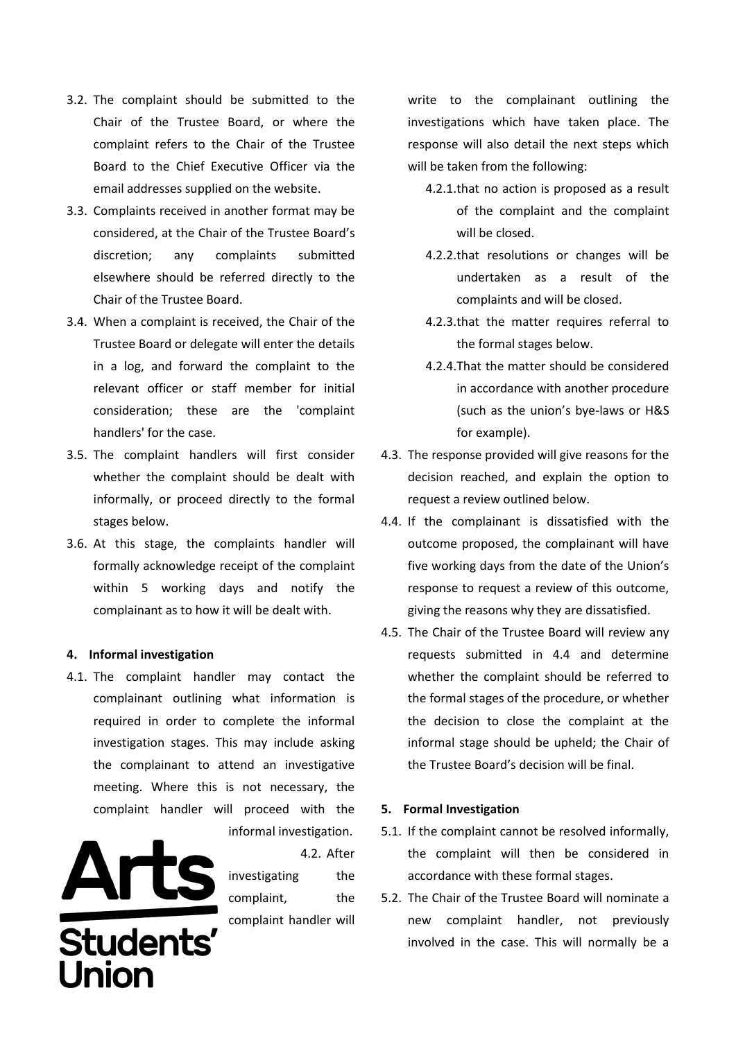- 3.2. The complaint should be submitted to the Chair of the Trustee Board, or where the complaint refers to the Chair of the Trustee Board to the Chief Executive Officer via the email addresses supplied on the website.
- 3.3. Complaints received in another format may be considered, at the Chair of the Trustee Board's discretion; any complaints submitted elsewhere should be referred directly to the Chair of the Trustee Board.
- 3.4. When a complaint is received, the Chair of the Trustee Board or delegate will enter the details in a log, and forward the complaint to the relevant officer or staff member for initial consideration; these are the 'complaint handlers' for the case.
- 3.5. The complaint handlers will first consider whether the complaint should be dealt with informally, or proceed directly to the formal stages below.
- 3.6. At this stage, the complaints handler will formally acknowledge receipt of the complaint within 5 working days and notify the complainant as to how it will be dealt with.

#### **4. Informal investigation**

4.1. The complaint handler may contact the complainant outlining what information is required in order to complete the informal investigation stages. This may include asking the complainant to attend an investigative meeting. Where this is not necessary, the complaint handler will proceed with the



4.2. After investigating the complaint, the complaint handler will write to the complainant outlining the investigations which have taken place. The response will also detail the next steps which will be taken from the following:

- 4.2.1.that no action is proposed as a result of the complaint and the complaint will be closed.
- 4.2.2.that resolutions or changes will be undertaken as a result of the complaints and will be closed.
- 4.2.3.that the matter requires referral to the formal stages below.
- 4.2.4.That the matter should be considered in accordance with another procedure (such as the union's bye-laws or H&S for example).
- 4.3. The response provided will give reasons for the decision reached, and explain the option to request a review outlined below.
- 4.4. If the complainant is dissatisfied with the outcome proposed, the complainant will have five working days from the date of the Union's response to request a review of this outcome, giving the reasons why they are dissatisfied.
- 4.5. The Chair of the Trustee Board will review any requests submitted in 4.4 and determine whether the complaint should be referred to the formal stages of the procedure, or whether the decision to close the complaint at the informal stage should be upheld; the Chair of the Trustee Board's decision will be final.

## **5. Formal Investigation**

- 5.1. If the complaint cannot be resolved informally, the complaint will then be considered in accordance with these formal stages.
- 5.2. The Chair of the Trustee Board will nominate a new complaint handler, not previously involved in the case. This will normally be a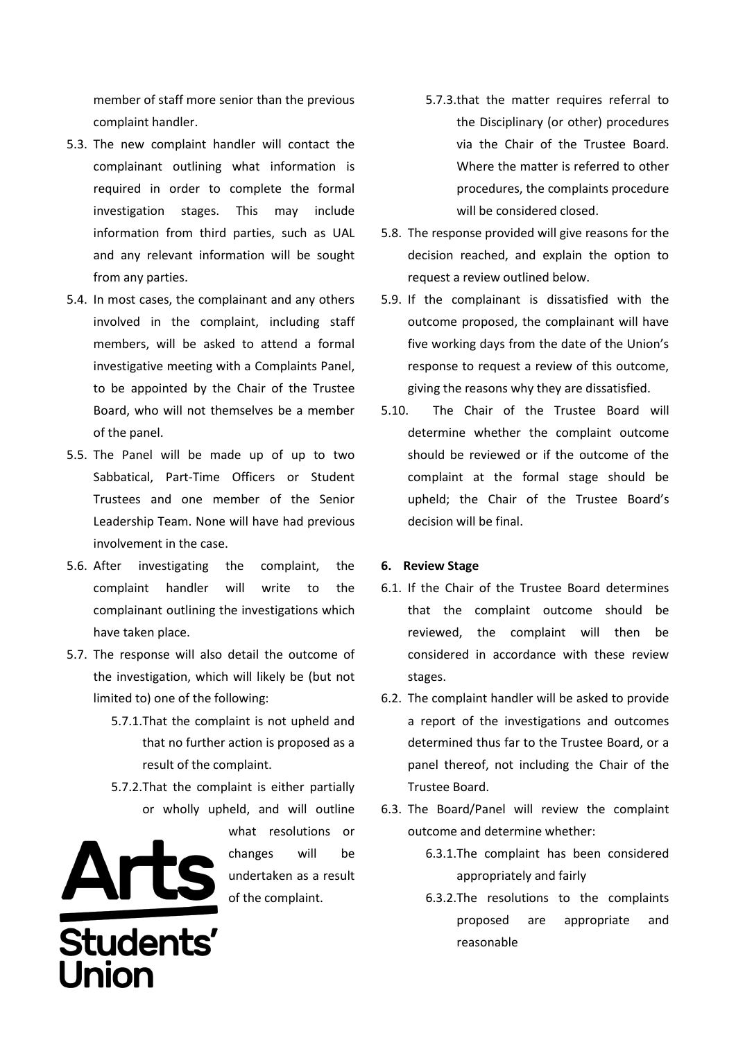member of staff more senior than the previous complaint handler.

- 5.3. The new complaint handler will contact the complainant outlining what information is required in order to complete the formal investigation stages. This may include information from third parties, such as UAL and any relevant information will be sought from any parties.
- 5.4. In most cases, the complainant and any others involved in the complaint, including staff members, will be asked to attend a formal investigative meeting with a Complaints Panel, to be appointed by the Chair of the Trustee Board, who will not themselves be a member of the panel.
- 5.5. The Panel will be made up of up to two Sabbatical, Part-Time Officers or Student Trustees and one member of the Senior Leadership Team. None will have had previous involvement in the case.
- 5.6. After investigating the complaint, the complaint handler will write to the complainant outlining the investigations which have taken place.
- 5.7. The response will also detail the outcome of the investigation, which will likely be (but not limited to) one of the following:
	- 5.7.1.That the complaint is not upheld and that no further action is proposed as a result of the complaint.
	- 5.7.2.That the complaint is either partially or wholly upheld, and will outline



what resolutions or changes will be undertaken as a result of the complaint.

- 5.7.3.that the matter requires referral to the Disciplinary (or other) procedures via the Chair of the Trustee Board. Where the matter is referred to other procedures, the complaints procedure will be considered closed.
- 5.8. The response provided will give reasons for the decision reached, and explain the option to request a review outlined below.
- 5.9. If the complainant is dissatisfied with the outcome proposed, the complainant will have five working days from the date of the Union's response to request a review of this outcome, giving the reasons why they are dissatisfied.
- 5.10. The Chair of the Trustee Board will determine whether the complaint outcome should be reviewed or if the outcome of the complaint at the formal stage should be upheld; the Chair of the Trustee Board's decision will be final.

# **6. Review Stage**

- 6.1. If the Chair of the Trustee Board determines that the complaint outcome should be reviewed, the complaint will then be considered in accordance with these review stages.
- 6.2. The complaint handler will be asked to provide a report of the investigations and outcomes determined thus far to the Trustee Board, or a panel thereof, not including the Chair of the Trustee Board.
- 6.3. The Board/Panel will review the complaint outcome and determine whether:
	- 6.3.1.The complaint has been considered appropriately and fairly
	- 6.3.2.The resolutions to the complaints proposed are appropriate and reasonable